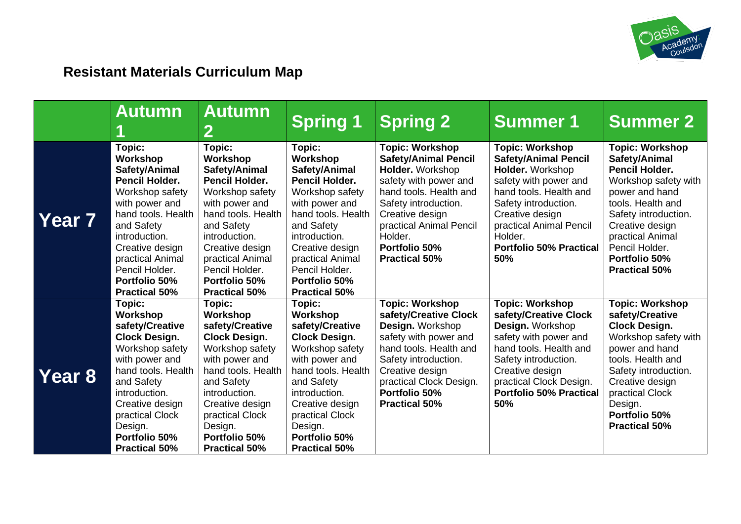

## **Resistant Materials Curriculum Map**

|                   | <b>Autumn</b>                                                                                                                                                                                                                                            | <b>Autumn</b><br>2                                                                                                                                                                                                                                              | <b>Spring 1</b>                                                                                                                                                                                                                                          | <b>Spring 2</b>                                                                                                                                                                                                                                        | <b>Summer 1</b>                                                                                                                                                                                                                                        | <b>Summer 2</b>                                                                                                                                                                                                                                           |
|-------------------|----------------------------------------------------------------------------------------------------------------------------------------------------------------------------------------------------------------------------------------------------------|-----------------------------------------------------------------------------------------------------------------------------------------------------------------------------------------------------------------------------------------------------------------|----------------------------------------------------------------------------------------------------------------------------------------------------------------------------------------------------------------------------------------------------------|--------------------------------------------------------------------------------------------------------------------------------------------------------------------------------------------------------------------------------------------------------|--------------------------------------------------------------------------------------------------------------------------------------------------------------------------------------------------------------------------------------------------------|-----------------------------------------------------------------------------------------------------------------------------------------------------------------------------------------------------------------------------------------------------------|
| Year <sub>7</sub> | Topic:<br>Workshop<br>Safety/Animal<br><b>Pencil Holder.</b><br>Workshop safety<br>with power and<br>hand tools. Health<br>and Safety<br>introduction.<br>Creative design<br>practical Animal<br>Pencil Holder.<br>Portfolio 50%<br><b>Practical 50%</b> | Topic:<br>Workshop<br>Safety/Animal<br><b>Pencil Holder.</b><br>Workshop safety<br>with power and<br>hand tools. Health<br>and Safety<br>introduction.<br>Creative design<br>practical Animal<br>Pencil Holder.<br><b>Portfolio 50%</b><br><b>Practical 50%</b> | Topic:<br>Workshop<br>Safety/Animal<br><b>Pencil Holder.</b><br>Workshop safety<br>with power and<br>hand tools. Health<br>and Safety<br>introduction.<br>Creative design<br>practical Animal<br>Pencil Holder.<br>Portfolio 50%<br><b>Practical 50%</b> | <b>Topic: Workshop</b><br><b>Safety/Animal Pencil</b><br>Holder. Workshop<br>safety with power and<br>hand tools. Health and<br>Safety introduction.<br>Creative design<br>practical Animal Pencil<br>Holder.<br>Portfolio 50%<br><b>Practical 50%</b> | <b>Topic: Workshop</b><br><b>Safety/Animal Pencil</b><br>Holder. Workshop<br>safety with power and<br>hand tools. Health and<br>Safety introduction.<br>Creative design<br>practical Animal Pencil<br>Holder.<br><b>Portfolio 50% Practical</b><br>50% | <b>Topic: Workshop</b><br>Safety/Animal<br><b>Pencil Holder.</b><br>Workshop safety with<br>power and hand<br>tools. Health and<br>Safety introduction.<br>Creative design<br>practical Animal<br>Pencil Holder.<br>Portfolio 50%<br><b>Practical 50%</b> |
| Year 8            | Topic:<br>Workshop<br>safety/Creative<br><b>Clock Design.</b><br>Workshop safety<br>with power and<br>hand tools. Health<br>and Safety<br>introduction.<br>Creative design<br>practical Clock<br>Design.<br>Portfolio 50%<br><b>Practical 50%</b>        | Topic:<br>Workshop<br>safety/Creative<br><b>Clock Design.</b><br>Workshop safety<br>with power and<br>hand tools. Health<br>and Safety<br>introduction.<br>Creative design<br>practical Clock<br>Design.<br>Portfolio 50%<br><b>Practical 50%</b>               | Topic:<br>Workshop<br>safety/Creative<br><b>Clock Design.</b><br>Workshop safety<br>with power and<br>hand tools. Health<br>and Safety<br>introduction.<br>Creative design<br>practical Clock<br>Design.<br>Portfolio 50%<br><b>Practical 50%</b>        | <b>Topic: Workshop</b><br>safety/Creative Clock<br>Design. Workshop<br>safety with power and<br>hand tools. Health and<br>Safety introduction.<br>Creative design<br>practical Clock Design.<br>Portfolio 50%<br><b>Practical 50%</b>                  | <b>Topic: Workshop</b><br>safety/Creative Clock<br>Design. Workshop<br>safety with power and<br>hand tools. Health and<br>Safety introduction.<br>Creative design<br>practical Clock Design.<br><b>Portfolio 50% Practical</b><br>50%                  | <b>Topic: Workshop</b><br>safety/Creative<br><b>Clock Design.</b><br>Workshop safety with<br>power and hand<br>tools. Health and<br>Safety introduction.<br>Creative design<br>practical Clock<br>Design.<br>Portfolio 50%<br><b>Practical 50%</b>        |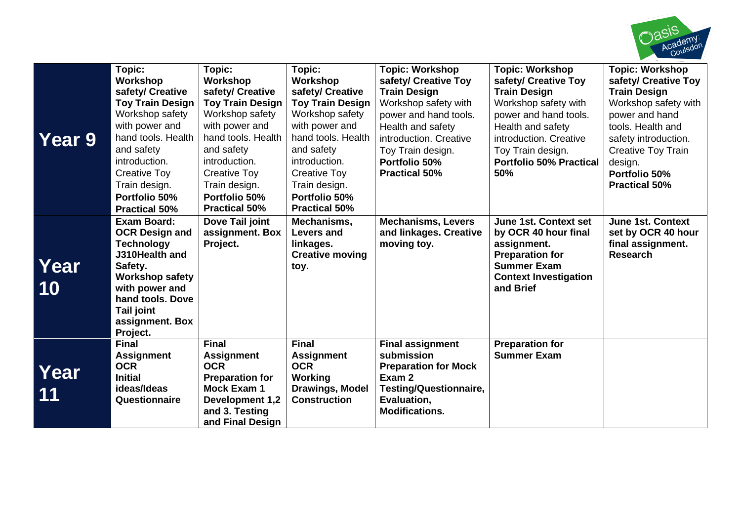

| <b>Year 9</b> | Topic:<br>Workshop<br>safety/ Creative<br><b>Toy Train Design</b><br>Workshop safety<br>with power and<br>hand tools. Health<br>and safety<br>introduction.<br><b>Creative Toy</b><br>Train design.<br>Portfolio 50%<br><b>Practical 50%</b> | Topic:<br>Workshop<br>safety/ Creative<br><b>Toy Train Design</b><br>Workshop safety<br>with power and<br>hand tools. Health<br>and safety<br>introduction.<br><b>Creative Toy</b><br>Train design.<br>Portfolio 50%<br><b>Practical 50%</b> | Topic:<br>Workshop<br>safety/ Creative<br><b>Toy Train Design</b><br>Workshop safety<br>with power and<br>hand tools. Health<br>and safety<br>introduction.<br><b>Creative Toy</b><br>Train design.<br>Portfolio 50%<br><b>Practical 50%</b> | <b>Topic: Workshop</b><br>safety/ Creative Toy<br><b>Train Design</b><br>Workshop safety with<br>power and hand tools.<br>Health and safety<br>introduction. Creative<br>Toy Train design.<br>Portfolio 50%<br><b>Practical 50%</b> | <b>Topic: Workshop</b><br>safety/ Creative Toy<br><b>Train Design</b><br>Workshop safety with<br>power and hand tools.<br>Health and safety<br>introduction. Creative<br>Toy Train design.<br><b>Portfolio 50% Practical</b><br>50% | <b>Topic: Workshop</b><br>safety/ Creative Toy<br><b>Train Design</b><br>Workshop safety with<br>power and hand<br>tools. Health and<br>safety introduction.<br><b>Creative Toy Train</b><br>design.<br>Portfolio 50%<br><b>Practical 50%</b> |
|---------------|----------------------------------------------------------------------------------------------------------------------------------------------------------------------------------------------------------------------------------------------|----------------------------------------------------------------------------------------------------------------------------------------------------------------------------------------------------------------------------------------------|----------------------------------------------------------------------------------------------------------------------------------------------------------------------------------------------------------------------------------------------|-------------------------------------------------------------------------------------------------------------------------------------------------------------------------------------------------------------------------------------|-------------------------------------------------------------------------------------------------------------------------------------------------------------------------------------------------------------------------------------|-----------------------------------------------------------------------------------------------------------------------------------------------------------------------------------------------------------------------------------------------|
| Year<br>10    | <b>Exam Board:</b><br><b>OCR Design and</b><br><b>Technology</b><br>J310Health and<br>Safety.<br><b>Workshop safety</b><br>with power and<br>hand tools, Dove<br>Tail joint<br>assignment. Box<br>Project.                                   | Dove Tail joint<br>assignment. Box<br>Project.                                                                                                                                                                                               | Mechanisms,<br>Levers and<br>linkages.<br><b>Creative moving</b><br>toy.                                                                                                                                                                     | <b>Mechanisms, Levers</b><br>and linkages. Creative<br>moving toy.                                                                                                                                                                  | <b>June 1st. Context set</b><br>by OCR 40 hour final<br>assignment.<br><b>Preparation for</b><br><b>Summer Exam</b><br><b>Context Investigation</b><br>and Brief                                                                    | <b>June 1st. Context</b><br>set by OCR 40 hour<br>final assignment.<br><b>Research</b>                                                                                                                                                        |
| Year<br>11    | <b>Final</b><br><b>Assignment</b><br><b>OCR</b><br><b>Initial</b><br>ideas/Ideas<br>Questionnaire                                                                                                                                            | <b>Final</b><br><b>Assignment</b><br><b>OCR</b><br><b>Preparation for</b><br><b>Mock Exam 1</b><br>Development 1,2<br>and 3. Testing<br>and Final Design                                                                                     | <b>Final</b><br><b>Assignment</b><br><b>OCR</b><br>Working<br><b>Drawings, Model</b><br><b>Construction</b>                                                                                                                                  | <b>Final assignment</b><br>submission<br><b>Preparation for Mock</b><br>Exam 2<br><b>Testing/Questionnaire,</b><br>Evaluation,<br><b>Modifications.</b>                                                                             | <b>Preparation for</b><br><b>Summer Exam</b>                                                                                                                                                                                        |                                                                                                                                                                                                                                               |